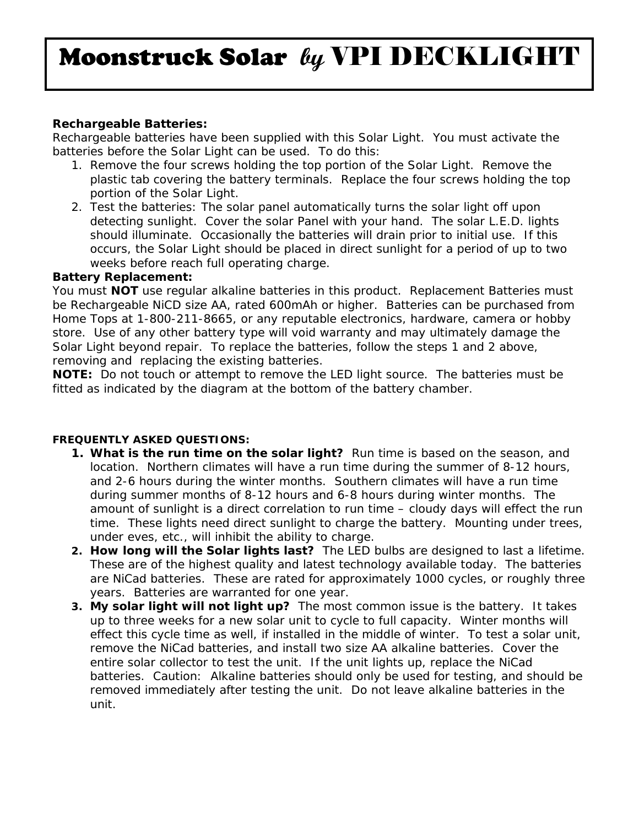# Moonstruck Solar **by** VPI DECKLIGHT

## **Rechargeable Batteries:**

Rechargeable batteries have been supplied with this Solar Light. You must activate the batteries before the Solar Light can be used. To do this:

- 1. Remove the four screws holding the top portion of the Solar Light. Remove the plastic tab covering the battery terminals. Replace the four screws holding the top portion of the Solar Light.
- 2. Test the batteries: The solar panel automatically turns the solar light off upon detecting sunlight. Cover the solar Panel with your hand. The solar L.E.D. lights should illuminate. Occasionally the batteries will drain prior to initial use. If this occurs, the Solar Light should be placed in direct sunlight for a period of up to two weeks before reach full operating charge.

### **Battery Replacement:**

You must **NOT** use regular alkaline batteries in this product. Replacement Batteries must be Rechargeable NiCD size AA, rated 600mAh or higher. Batteries can be purchased from Home Tops at 1-800-211-8665, or any reputable electronics, hardware, camera or hobby store. Use of any other battery type will void warranty and may ultimately damage the Solar Light beyond repair. To replace the batteries, follow the steps 1 and 2 above, removing and replacing the existing batteries.

**NOTE:** Do not touch or attempt to remove the LED light source. The batteries must be fitted as indicated by the diagram at the bottom of the battery chamber.

## **FREQUENTLY ASKED QUESTIONS:**

- **1. What is the run time on the solar light?** Run time is based on the season, and location. Northern climates will have a run time during the summer of 8-12 hours, and 2-6 hours during the winter months. Southern climates will have a run time during summer months of 8-12 hours and 6-8 hours during winter months. The amount of sunlight is a direct correlation to run time – cloudy days will effect the run time. These lights need direct sunlight to charge the battery. Mounting under trees, under eves, etc., will inhibit the ability to charge.
- **2. How long will the Solar lights last?** The LED bulbs are designed to last a lifetime. These are of the highest quality and latest technology available today. The batteries are NiCad batteries. These are rated for approximately 1000 cycles, or roughly three years. Batteries are warranted for one year.
- **3. My solar light will not light up?** The most common issue is the battery. It takes up to three weeks for a new solar unit to cycle to full capacity. Winter months will effect this cycle time as well, if installed in the middle of winter. To test a solar unit, remove the NiCad batteries, and install two size AA alkaline batteries. Cover the entire solar collector to test the unit. If the unit lights up, replace the NiCad batteries. Caution: Alkaline batteries should only be used for testing, and should be removed immediately after testing the unit. Do not leave alkaline batteries in the unit.